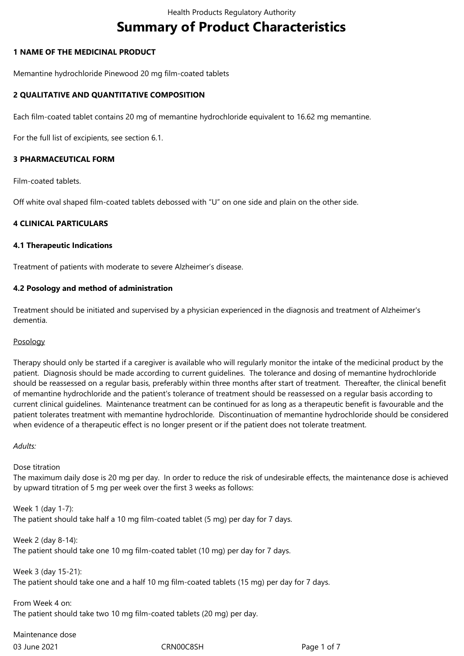# **Summary of Product Characteristics**

## **1 NAME OF THE MEDICINAL PRODUCT**

Memantine hydrochloride Pinewood 20 mg film-coated tablets

## **2 QUALITATIVE AND QUANTITATIVE COMPOSITION**

Each film-coated tablet contains 20 mg of memantine hydrochloride equivalent to 16.62 mg memantine.

For the full list of excipients, see section 6.1.

# **3 PHARMACEUTICAL FORM**

Film-coated tablets.

Off white oval shaped film-coated tablets debossed with "U" on one side and plain on the other side.

# **4 CLINICAL PARTICULARS**

#### **4.1 Therapeutic Indications**

Treatment of patients with moderate to severe Alzheimer's disease.

# **4.2 Posology and method of administration**

Treatment should be initiated and supervised by a physician experienced in the diagnosis and treatment of Alzheimer's dementia.

#### Posology

Therapy should only be started if a caregiver is available who will regularly monitor the intake of the medicinal product by the patient. Diagnosis should be made according to current guidelines. The tolerance and dosing of memantine hydrochloride should be reassessed on a regular basis, preferably within three months after start of treatment. Thereafter, the clinical benefit of memantine hydrochloride and the patient's tolerance of treatment should be reassessed on a regular basis according to current clinical guidelines. Maintenance treatment can be continued for as long as a therapeutic benefit is favourable and the patient tolerates treatment with memantine hydrochloride. Discontinuation of memantine hydrochloride should be considered when evidence of a therapeutic effect is no longer present or if the patient does not tolerate treatment.

#### *Adults:*

Dose titration

The maximum daily dose is 20 mg per day. In order to reduce the risk of undesirable effects, the maintenance dose is achieved by upward titration of 5 mg per week over the first 3 weeks as follows:

Week 1 (day 1-7): The patient should take half a 10 mg film-coated tablet (5 mg) per day for 7 days.

Week 2 (day 8-14): The patient should take one 10 mg film-coated tablet (10 mg) per day for 7 days.

Week 3 (day 15-21): The patient should take one and a half 10 mg film-coated tablets (15 mg) per day for 7 days.

From Week 4 on: The patient should take two 10 mg film-coated tablets (20 mg) per day.

03 June 2021 CRN00C8SH Page 1 of 7 Maintenance dose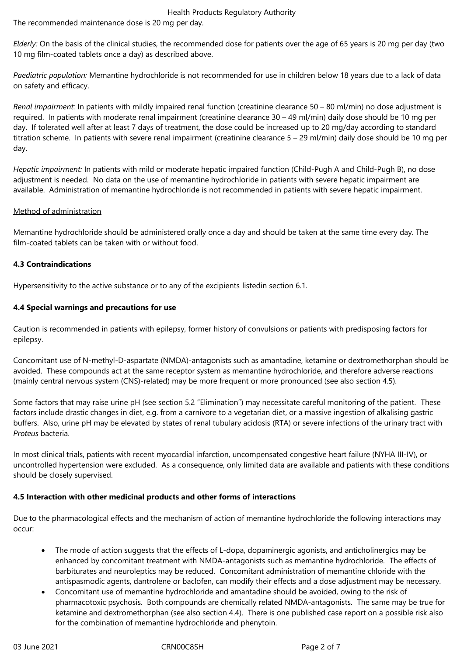#### Health Products Regulatory Authority

The recommended maintenance dose is 20 mg per day.

*Elderly:* On the basis of the clinical studies, the recommended dose for patients over the age of 65 years is 20 mg per day (two 10 mg film-coated tablets once a day) as described above.

*Paediatric population:* Memantine hydrochloride is not recommended for use in children below 18 years due to a lack of data on safety and efficacy.

*Renal impairment:* In patients with mildly impaired renal function (creatinine clearance 50 – 80 ml/min) no dose adjustment is required. In patients with moderate renal impairment (creatinine clearance 30 – 49 ml/min) daily dose should be 10 mg per day. If tolerated well after at least 7 days of treatment, the dose could be increased up to 20 mg/day according to standard titration scheme. In patients with severe renal impairment (creatinine clearance 5 – 29 ml/min) daily dose should be 10 mg per day.

*Hepatic impairment:* In patients with mild or moderate hepatic impaired function (Child-Pugh A and Child-Pugh B), no dose adjustment is needed. No data on the use of memantine hydrochloride in patients with severe hepatic impairment are available. Administration of memantine hydrochloride is not recommended in patients with severe hepatic impairment.

# Method of administration

Memantine hydrochloride should be administered orally once a day and should be taken at the same time every day. The film-coated tablets can be taken with or without food.

# **4.3 Contraindications**

Hypersensitivity to the active substance or to any of the excipients listedin section 6.1.

# **4.4 Special warnings and precautions for use**

Caution is recommended in patients with epilepsy, former history of convulsions or patients with predisposing factors for epilepsy.

Concomitant use of N-methyl-D-aspartate (NMDA)-antagonists such as amantadine, ketamine or dextromethorphan should be avoided. These compounds act at the same receptor system as memantine hydrochloride, and therefore adverse reactions (mainly central nervous system (CNS)-related) may be more frequent or more pronounced (see also section 4.5).

Some factors that may raise urine pH (see section 5.2 "Elimination") may necessitate careful monitoring of the patient. These factors include drastic changes in diet, e.g. from a carnivore to a vegetarian diet, or a massive ingestion of alkalising gastric buffers. Also, urine pH may be elevated by states of renal tubulary acidosis (RTA) or severe infections of the urinary tract with *Proteus* bacteria.

In most clinical trials, patients with recent myocardial infarction, uncompensated congestive heart failure (NYHA III-IV), or uncontrolled hypertension were excluded. As a consequence, only limited data are available and patients with these conditions should be closely supervised.

#### **4.5 Interaction with other medicinal products and other forms of interactions**

Due to the pharmacological effects and the mechanism of action of memantine hydrochloride the following interactions may occur:

- The mode of action suggests that the effects of L-dopa, dopaminergic agonists, and anticholinergics may be enhanced by concomitant treatment with NMDA-antagonists such as memantine hydrochloride. The effects of barbiturates and neuroleptics may be reduced. Concomitant administration of memantine chloride with the antispasmodic agents, dantrolene or baclofen, can modify their effects and a dose adjustment may be necessary.
- Concomitant use of memantine hydrochloride and amantadine should be avoided, owing to the risk of pharmacotoxic psychosis. Both compounds are chemically related NMDA-antagonists. The same may be true for ketamine and dextromethorphan (see also section 4.4). There is one published case report on a possible risk also for the combination of memantine hydrochloride and phenytoin.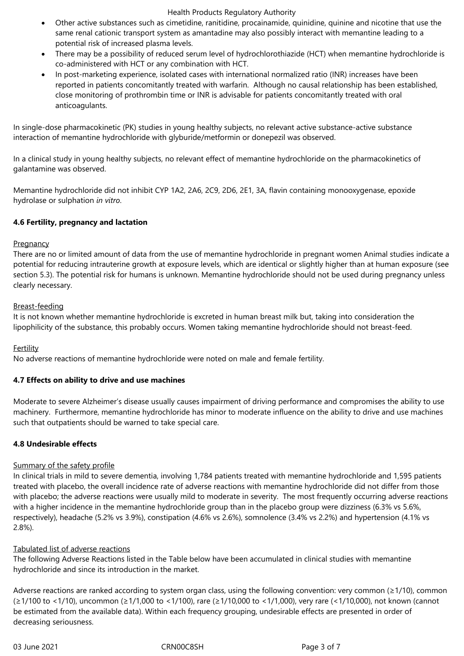#### Health Products Regulatory Authority

- Other active substances such as cimetidine, ranitidine, procainamide, quinidine, quinine and nicotine that use the same renal cationic transport system as amantadine may also possibly interact with memantine leading to a potential risk of increased plasma levels.
- There may be a possibility of reduced serum level of hydrochlorothiazide (HCT) when memantine hydrochloride is co-administered with HCT or any combination with HCT.
- In post-marketing experience, isolated cases with international normalized ratio (INR) increases have been reported in patients concomitantly treated with warfarin. Although no causal relationship has been established, close monitoring of prothrombin time or INR is advisable for patients concomitantly treated with oral anticoagulants.

In single-dose pharmacokinetic (PK) studies in young healthy subjects, no relevant active substance-active substance interaction of memantine hydrochloride with glyburide/metformin or donepezil was observed.

In a clinical study in young healthy subjects, no relevant effect of memantine hydrochloride on the pharmacokinetics of galantamine was observed.

Memantine hydrochloride did not inhibit CYP 1A2, 2A6, 2C9, 2D6, 2E1, 3A, flavin containing monooxygenase, epoxide hydrolase or sulphation *in vitro*.

# **4.6 Fertility, pregnancy and lactation**

#### **Pregnancy**

There are no or limited amount of data from the use of memantine hydrochloride in pregnant women Animal studies indicate a potential for reducing intrauterine growth at exposure levels, which are identical or slightly higher than at human exposure (see section 5.3). The potential risk for humans is unknown. Memantine hydrochloride should not be used during pregnancy unless clearly necessary.

# Breast-feeding

It is not known whether memantine hydrochloride is excreted in human breast milk but, taking into consideration the lipophilicity of the substance, this probably occurs. Women taking memantine hydrochloride should not breast-feed.

# Fertility

No adverse reactions of memantine hydrochloride were noted on male and female fertility.

#### **4.7 Effects on ability to drive and use machines**

Moderate to severe Alzheimer's disease usually causes impairment of driving performance and compromises the ability to use machinery. Furthermore, memantine hydrochloride has minor to moderate influence on the ability to drive and use machines such that outpatients should be warned to take special care.

#### **4.8 Undesirable effects**

#### Summary of the safety profile

In clinical trials in mild to severe dementia, involving 1,784 patients treated with memantine hydrochloride and 1,595 patients treated with placebo, the overall incidence rate of adverse reactions with memantine hydrochloride did not differ from those with placebo; the adverse reactions were usually mild to moderate in severity. The most frequently occurring adverse reactions with a higher incidence in the memantine hydrochloride group than in the placebo group were dizziness (6.3% vs 5.6%, respectively), headache (5.2% vs 3.9%), constipation (4.6% vs 2.6%), somnolence (3.4% vs 2.2%) and hypertension (4.1% vs 2.8%).

# Tabulated list of adverse reactions

The following Adverse Reactions listed in the Table below have been accumulated in clinical studies with memantine hydrochloride and since its introduction in the market.

Adverse reactions are ranked according to system organ class, using the following convention: very common (≥1/10), common (≥1/100 to <1/10), uncommon (≥1/1,000 to <1/100), rare (≥1/10,000 to <1/1,000), very rare (<1/10,000), not known (cannot be estimated from the available data). Within each frequency grouping, undesirable effects are presented in order of decreasing seriousness.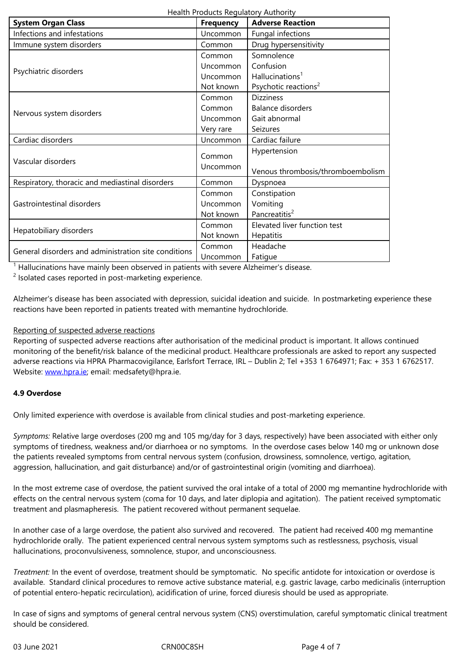| Immune system disorders                              | Common    | Drug hypersensitivity             |
|------------------------------------------------------|-----------|-----------------------------------|
| Psychiatric disorders                                | Common    | Somnolence                        |
|                                                      | Uncommon  | Confusion                         |
|                                                      | Uncommon  | Hallucinations <sup>1</sup>       |
|                                                      | Not known | Psychotic reactions <sup>2</sup>  |
| Nervous system disorders                             | Common    | <b>Dizziness</b>                  |
|                                                      | Common    | Balance disorders                 |
|                                                      | Uncommon  | Gait abnormal                     |
|                                                      | Very rare | Seizures                          |
| Cardiac disorders                                    | Uncommon  | Cardiac failure                   |
| Vascular disorders                                   | Common    | Hypertension                      |
|                                                      | Uncommon  |                                   |
|                                                      |           | Venous thrombosis/thromboembolism |
| Respiratory, thoracic and mediastinal disorders      | Common    | Dyspnoea                          |
| Gastrointestinal disorders                           | Common    | Constipation                      |
|                                                      | Uncommon  | Vomiting                          |
|                                                      | Not known | Pancreatitis <sup>2</sup>         |
| Hepatobiliary disorders                              | Common    | Elevated liver function test      |
|                                                      | Not known | Hepatitis                         |
| General disorders and administration site conditions | Common    | Headache                          |
|                                                      | Uncommon  | Fatigue                           |

 $<sup>1</sup>$  Hallucinations have mainly been observed in patients with severe Alzheimer's disease.</sup>

 $2$  Isolated cases reported in post-marketing experience.

Alzheimer's disease has been associated with depression, suicidal ideation and suicide. In postmarketing experience these reactions have been reported in patients treated with memantine hydrochloride.

#### Reporting of suspected adverse reactions

Reporting of suspected adverse reactions after authorisation of the medicinal product is important. It allows continued monitoring of the benefit/risk balance of the medicinal product. Healthcare professionals are asked to report any suspected adverse reactions via HPRA Pharmacovigilance, Earlsfort Terrace, IRL – Dublin 2; Tel +353 1 6764971; Fax: + 353 1 6762517. Website: www.hpra.ie; email: medsafety@hpra.ie.

# **4.9 Overdose**

Only limi[ted experienc](http://www.hpra.ie/)e with overdose is available from clinical studies and post-marketing experience.

*Symptoms:* Relative large overdoses (200 mg and 105 mg/day for 3 days, respectively) have been associated with either only symptoms of tiredness, weakness and/or diarrhoea or no symptoms. In the overdose cases below 140 mg or unknown dose the patients revealed symptoms from central nervous system (confusion, drowsiness, somnolence, vertigo, agitation, aggression, hallucination, and gait disturbance) and/or of gastrointestinal origin (vomiting and diarrhoea).

In the most extreme case of overdose, the patient survived the oral intake of a total of 2000 mg memantine hydrochloride with effects on the central nervous system (coma for 10 days, and later diplopia and agitation). The patient received symptomatic treatment and plasmapheresis. The patient recovered without permanent sequelae.

In another case of a large overdose, the patient also survived and recovered. The patient had received 400 mg memantine hydrochloride orally. The patient experienced central nervous system symptoms such as restlessness, psychosis, visual hallucinations, proconvulsiveness, somnolence, stupor, and unconsciousness.

*Treatment:* In the event of overdose, treatment should be symptomatic. No specific antidote for intoxication or overdose is available. Standard clinical procedures to remove active substance material, e.g. gastric lavage, carbo medicinalis (interruption of potential entero-hepatic recirculation), acidification of urine, forced diuresis should be used as appropriate.

In case of signs and symptoms of general central nervous system (CNS) overstimulation, careful symptomatic clinical treatment should be considered.

03 June 2021 **CRNOOC8SH** Page 4 of 7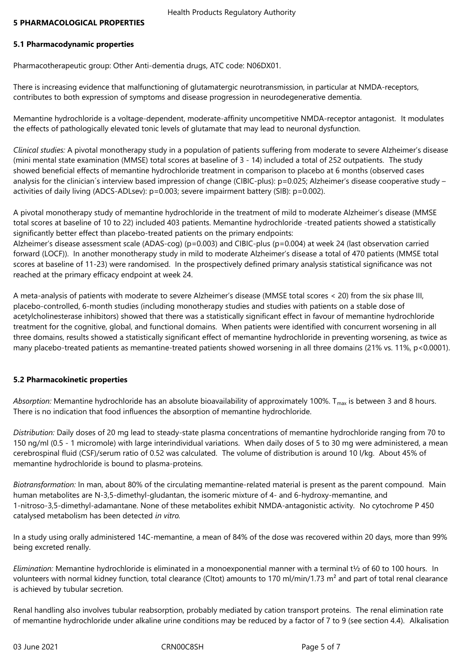# **5.1 Pharmacodynamic properties**

Pharmacotherapeutic group: Other Anti-dementia drugs, ATC code: N06DX01.

There is increasing evidence that malfunctioning of glutamatergic neurotransmission, in particular at NMDA-receptors, contributes to both expression of symptoms and disease progression in neurodegenerative dementia.

Memantine hydrochloride is a voltage-dependent, moderate-affinity uncompetitive NMDA-receptor antagonist. It modulates the effects of pathologically elevated tonic levels of glutamate that may lead to neuronal dysfunction.

*Clinical studies:* A pivotal monotherapy study in a population of patients suffering from moderate to severe Alzheimer's disease (mini mental state examination (MMSE) total scores at baseline of 3 - 14) included a total of 252 outpatients. The study showed beneficial effects of memantine hydrochloride treatment in comparison to placebo at 6 months (observed cases analysis for the clinician's interview based impression of change (CIBIC-plus): p=0.025; Alzheimer's disease cooperative study – activities of daily living (ADCS-ADLsev): p=0.003; severe impairment battery (SIB): p=0.002).

A pivotal monotherapy study of memantine hydrochloride in the treatment of mild to moderate Alzheimer's disease (MMSE total scores at baseline of 10 to 22) included 403 patients. Memantine hydrochloride -treated patients showed a statistically significantly better effect than placebo-treated patients on the primary endpoints:

Alzheimer's disease assessment scale (ADAS-cog) (p=0.003) and CIBIC-plus (p=0.004) at week 24 (last observation carried forward (LOCF)). In another monotherapy study in mild to moderate Alzheimer's disease a total of 470 patients (MMSE total scores at baseline of 11-23) were randomised. In the prospectively defined primary analysis statistical significance was not reached at the primary efficacy endpoint at week 24.

A meta-analysis of patients with moderate to severe Alzheimer's disease (MMSE total scores < 20) from the six phase III, placebo-controlled, 6-month studies (including monotherapy studies and studies with patients on a stable dose of acetylcholinesterase inhibitors) showed that there was a statistically significant effect in favour of memantine hydrochloride treatment for the cognitive, global, and functional domains. When patients were identified with concurrent worsening in all three domains, results showed a statistically significant effect of memantine hydrochloride in preventing worsening, as twice as many placebo-treated patients as memantine-treated patients showed worsening in all three domains (21% vs. 11%, p<0.0001).

# **5.2 Pharmacokinetic properties**

Absorption: Memantine hydrochloride has an absolute bioavailability of approximately 100%. T<sub>max</sub> is between 3 and 8 hours. There is no indication that food influences the absorption of memantine hydrochloride.

*Distribution:* Daily doses of 20 mg lead to steady-state plasma concentrations of memantine hydrochloride ranging from 70 to 150 ng/ml (0.5 - 1 micromole) with large interindividual variations. When daily doses of 5 to 30 mg were administered, a mean cerebrospinal fluid (CSF)/serum ratio of 0.52 was calculated. The volume of distribution is around 10 l/kg. About 45% of memantine hydrochloride is bound to plasma-proteins.

*Biotransformation:* In man, about 80% of the circulating memantine-related material is present as the parent compound. Main human metabolites are N-3,5-dimethyl-gludantan, the isomeric mixture of 4- and 6-hydroxy-memantine, and 1-nitroso-3,5-dimethyl-adamantane. None of these metabolites exhibit NMDA-antagonistic activity. No cytochrome P 450 catalysed metabolism has been detected *in vitro.*

In a study using orally administered 14C-memantine, a mean of 84% of the dose was recovered within 20 days, more than 99% being excreted renally.

*Elimination:* Memantine hydrochloride is eliminated in a monoexponential manner with a terminal t½ of 60 to 100 hours. In volunteers with normal kidney function, total clearance (Cltot) amounts to 170 ml/min/1.73  $m^2$  and part of total renal clearance is achieved by tubular secretion.

Renal handling also involves tubular reabsorption, probably mediated by cation transport proteins. The renal elimination rate of memantine hydrochloride under alkaline urine conditions may be reduced by a factor of 7 to 9 (see section 4.4). Alkalisation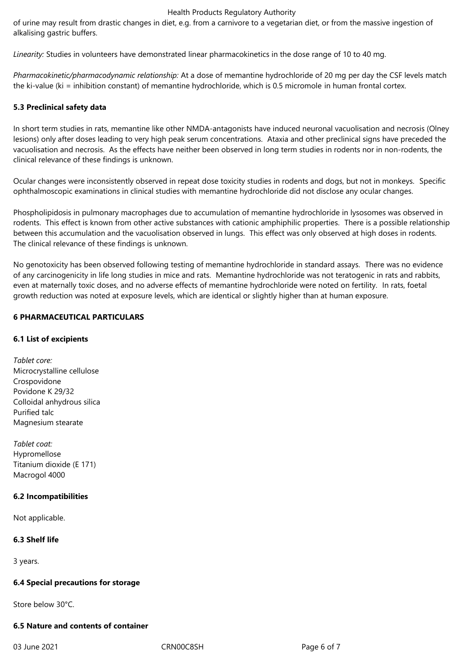#### Health Products Regulatory Authority

of urine may result from drastic changes in diet, e.g. from a carnivore to a vegetarian diet, or from the massive ingestion of alkalising gastric buffers.

*Linearity:* Studies in volunteers have demonstrated linear pharmacokinetics in the dose range of 10 to 40 mg.

*Pharmacokinetic/pharmacodynamic relationship:* At a dose of memantine hydrochloride of 20 mg per day the CSF levels match the ki-value (ki = inhibition constant) of memantine hydrochloride, which is 0.5 micromole in human frontal cortex.

# **5.3 Preclinical safety data**

In short term studies in rats, memantine like other NMDA-antagonists have induced neuronal vacuolisation and necrosis (Olney lesions) only after doses leading to very high peak serum concentrations. Ataxia and other preclinical signs have preceded the vacuolisation and necrosis. As the effects have neither been observed in long term studies in rodents nor in non-rodents, the clinical relevance of these findings is unknown.

Ocular changes were inconsistently observed in repeat dose toxicity studies in rodents and dogs, but not in monkeys. Specific ophthalmoscopic examinations in clinical studies with memantine hydrochloride did not disclose any ocular changes.

Phospholipidosis in pulmonary macrophages due to accumulation of memantine hydrochloride in lysosomes was observed in rodents. This effect is known from other active substances with cationic amphiphilic properties. There is a possible relationship between this accumulation and the vacuolisation observed in lungs. This effect was only observed at high doses in rodents. The clinical relevance of these findings is unknown.

No genotoxicity has been observed following testing of memantine hydrochloride in standard assays. There was no evidence of any carcinogenicity in life long studies in mice and rats. Memantine hydrochloride was not teratogenic in rats and rabbits, even at maternally toxic doses, and no adverse effects of memantine hydrochloride were noted on fertility. In rats, foetal growth reduction was noted at exposure levels, which are identical or slightly higher than at human exposure.

#### **6 PHARMACEUTICAL PARTICULARS**

#### **6.1 List of excipients**

*Tablet core:* Microcrystalline cellulose Crospovidone Povidone K 29/32 Colloidal anhydrous silica Purified talc Magnesium stearate

*Tablet coat:* Hypromellose Titanium dioxide (E 171) Macrogol 4000

#### **6.2 Incompatibilities**

Not applicable.

# **6.3 Shelf life**

3 years.

#### **6.4 Special precautions for storage**

Store below 30°C.

# **6.5 Nature and contents of container**

03 June 2021 CRN00C8SH Page 6 of 7